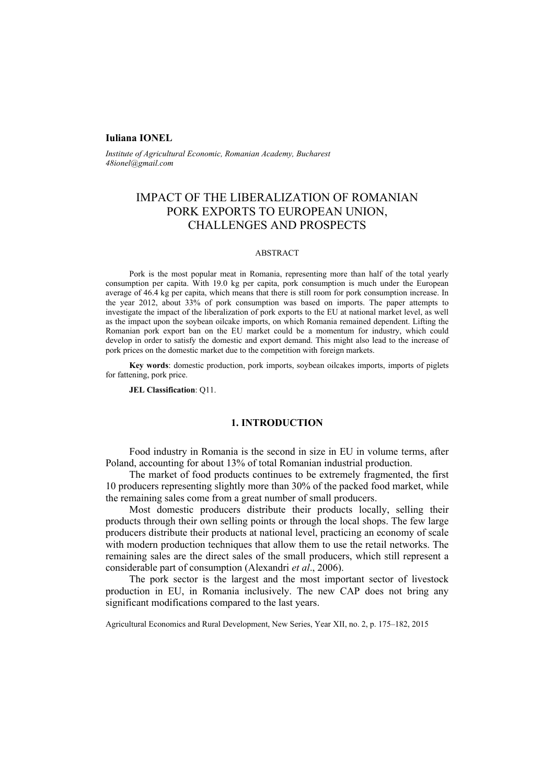#### **Iuliana IONEL**

*Institute of Agricultural Economic, Romanian Academy, Bucharest 48ionel@gmail.com* 

# IMPACT OF THE LIBERALIZATION OF ROMANIAN PORK EXPORTS TO EUROPEAN UNION, CHALLENGES AND PROSPECTS

#### ABSTRACT

Pork is the most popular meat in Romania, representing more than half of the total yearly consumption per capita. With 19.0 kg per capita, pork consumption is much under the European average of 46.4 kg per capita, which means that there is still room for pork consumption increase. In the year 2012, about 33% of pork consumption was based on imports. The paper attempts to investigate the impact of the liberalization of pork exports to the EU at national market level, as well as the impact upon the soybean oilcake imports, on which Romania remained dependent. Lifting the Romanian pork export ban on the EU market could be a momentum for industry, which could develop in order to satisfy the domestic and export demand. This might also lead to the increase of pork prices on the domestic market due to the competition with foreign markets.

**Key words**: domestic production, pork imports, soybean oilcakes imports, imports of piglets for fattening, pork price.

**JEL Classification**: Q11.

# **1. INTRODUCTION**

Food industry in Romania is the second in size in EU in volume terms, after Poland, accounting for about 13% of total Romanian industrial production.

The market of food products continues to be extremely fragmented, the first 10 producers representing slightly more than 30% of the packed food market, while the remaining sales come from a great number of small producers.

Most domestic producers distribute their products locally, selling their products through their own selling points or through the local shops. The few large producers distribute their products at national level, practicing an economy of scale with modern production techniques that allow them to use the retail networks. The remaining sales are the direct sales of the small producers, which still represent a considerable part of consumption (Alexandri *et al*., 2006).

The pork sector is the largest and the most important sector of livestock production in EU, in Romania inclusively. The new CAP does not bring any significant modifications compared to the last years.

Agricultural Economics and Rural Development, New Series, Year XII, no. 2, p. 175–182, 2015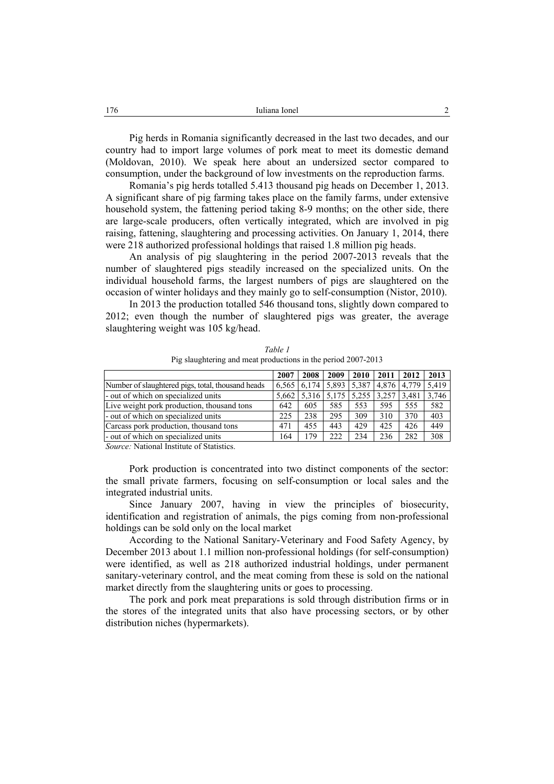Pig herds in Romania significantly decreased in the last two decades, and our country had to import large volumes of pork meat to meet its domestic demand (Moldovan, 2010). We speak here about an undersized sector compared to consumption, under the background of low investments on the reproduction farms.

Romania's pig herds totalled 5.413 thousand pig heads on December 1, 2013. A significant share of pig farming takes place on the family farms, under extensive household system, the fattening period taking 8-9 months; on the other side, there are large-scale producers, often vertically integrated, which are involved in pig raising, fattening, slaughtering and processing activities. On January 1, 2014, there were 218 authorized professional holdings that raised 1.8 million pig heads.

An analysis of pig slaughtering in the period 2007-2013 reveals that the number of slaughtered pigs steadily increased on the specialized units. On the individual household farms, the largest numbers of pigs are slaughtered on the occasion of winter holidays and they mainly go to self-consumption (Nistor, 2010).

In 2013 the production totalled 546 thousand tons, slightly down compared to 2012; even though the number of slaughtered pigs was greater, the average slaughtering weight was 105 kg/head.

|                                                   | 2007  | 2008 | 2009 | <b>2010</b>                   | 2011 | 2012        | 2013  |
|---------------------------------------------------|-------|------|------|-------------------------------|------|-------------|-------|
| Number of slaughtered pigs, total, thousand heads | 6.565 |      |      | $6,174$   5,893   5,387       |      | 4.876 4.779 | 5.419 |
| - out of which on specialized units               | 5.662 |      |      | 5,316 5,175 5,255 3,257 3,481 |      |             | 3.746 |
| Live weight pork production, thousand tons        | 642   | 605  | 585  | 553                           | 595  | 555         | 582   |
| - out of which on specialized units               | 225   | 238  | 295  | 309                           | 310  | 370         | 403   |
| Carcass pork production, thousand tons            | 471   | 455  | 443  | 429                           | 425  | 426         | 449   |
| - out of which on specialized units               | 164   | 179  | 222  | 234                           | 236  | 282         | 308   |
| $\alpha$ at $\alpha$ and $\alpha$                 |       |      |      |                               |      |             |       |

*Table 1*  Pig slaughtering and meat productions in the period 2007-2013

*Source:* National Institute of Statistics.

Pork production is concentrated into two distinct components of the sector: the small private farmers, focusing on self-consumption or local sales and the integrated industrial units.

Since January 2007, having in view the principles of biosecurity, identification and registration of animals, the pigs coming from non-professional holdings can be sold only on the local market

According to the National Sanitary-Veterinary and Food Safety Agency, by December 2013 about 1.1 million non-professional holdings (for self-consumption) were identified, as well as 218 authorized industrial holdings, under permanent sanitary-veterinary control, and the meat coming from these is sold on the national market directly from the slaughtering units or goes to processing.

The pork and pork meat preparations is sold through distribution firms or in the stores of the integrated units that also have processing sectors, or by other distribution niches (hypermarkets).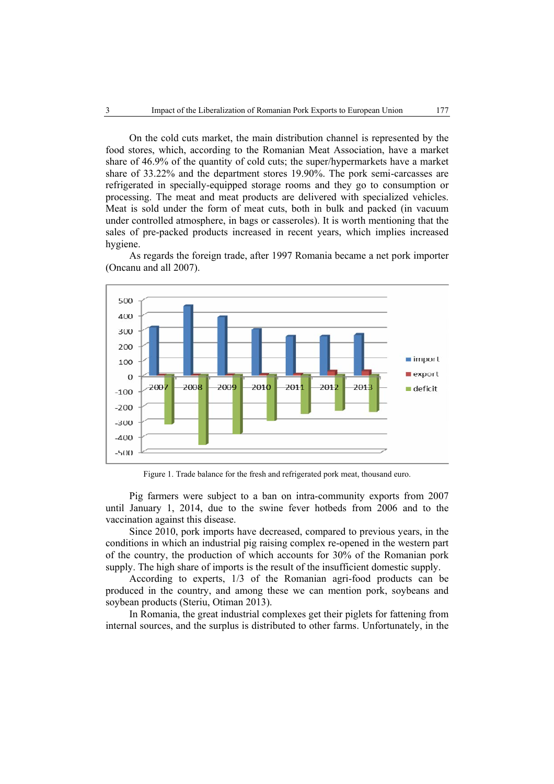On the cold cuts market, the main distribution channel is represented by the food stores, which, according to the Romanian Meat Association, have a market share of 46.9% of the quantity of cold cuts; the super/hypermarkets have a market share of 33.22% and the department stores 19.90%. The pork semi-carcasses are refrigerated in specially-equipped storage rooms and they go to consumption or processing. The meat and meat products are delivered with specialized vehicles. Meat is sold under the form of meat cuts, both in bulk and packed (in vacuum under controlled atmosphere, in bags or casseroles). It is worth mentioning that the sales of pre-packed products increased in recent years, which implies increased hygiene.

As regards the foreign trade, after 1997 Romania became a net pork importer (Oncanu and all 2007).



Figure 1. Trade balance for the fresh and refrigerated pork meat, thousand euro.

Pig farmers were subject to a ban on intra-community exports from 2007 until January 1, 2014, due to the swine fever hotbeds from 2006 and to the vaccination against this disease.

Since 2010, pork imports have decreased, compared to previous years, in the conditions in which an industrial pig raising complex re-opened in the western part of the country, the production of which accounts for 30% of the Romanian pork supply. The high share of imports is the result of the insufficient domestic supply.

According to experts, 1/3 of the Romanian agri-food products can be produced in the country, and among these we can mention pork, soybeans and soybean products (Steriu, Otiman 2013).

In Romania, the great industrial complexes get their piglets for fattening from internal sources, and the surplus is distributed to other farms. Unfortunately, in the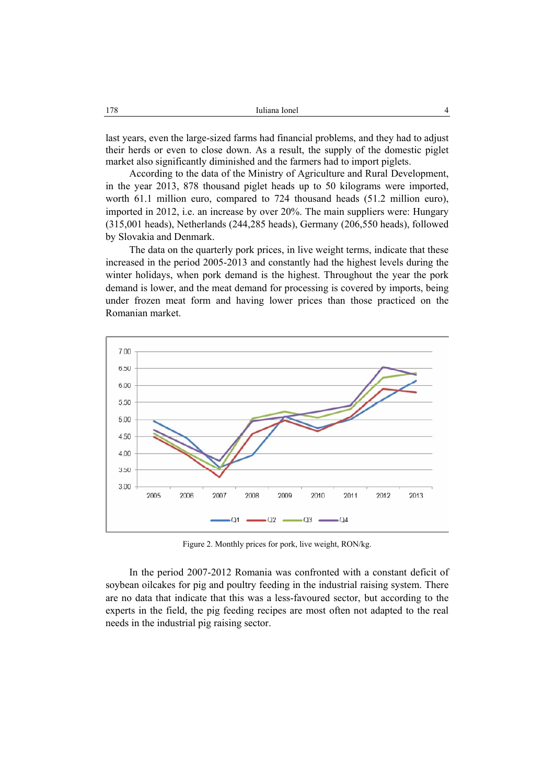last years, even the large-sized farms had financial problems, and they had to adjust their herds or even to close down. As a result, the supply of the domestic piglet market also significantly diminished and the farmers had to import piglets.

According to the data of the Ministry of Agriculture and Rural Development, in the year 2013, 878 thousand piglet heads up to 50 kilograms were imported, worth 61.1 million euro, compared to 724 thousand heads (51.2 million euro), imported in 2012, i.e. an increase by over 20%. The main suppliers were: Hungary (315,001 heads), Netherlands (244,285 heads), Germany (206,550 heads), followed by Slovakia and Denmark.

The data on the quarterly pork prices, in live weight terms, indicate that these increased in the period 2005-2013 and constantly had the highest levels during the winter holidays, when pork demand is the highest. Throughout the year the pork demand is lower, and the meat demand for processing is covered by imports, being under frozen meat form and having lower prices than those practiced on the Romanian market.



Figure 2. Monthly prices for pork, live weight, RON/kg.

In the period 2007-2012 Romania was confronted with a constant deficit of soybean oilcakes for pig and poultry feeding in the industrial raising system. There are no data that indicate that this was a less-favoured sector, but according to the experts in the field, the pig feeding recipes are most often not adapted to the real needs in the industrial pig raising sector.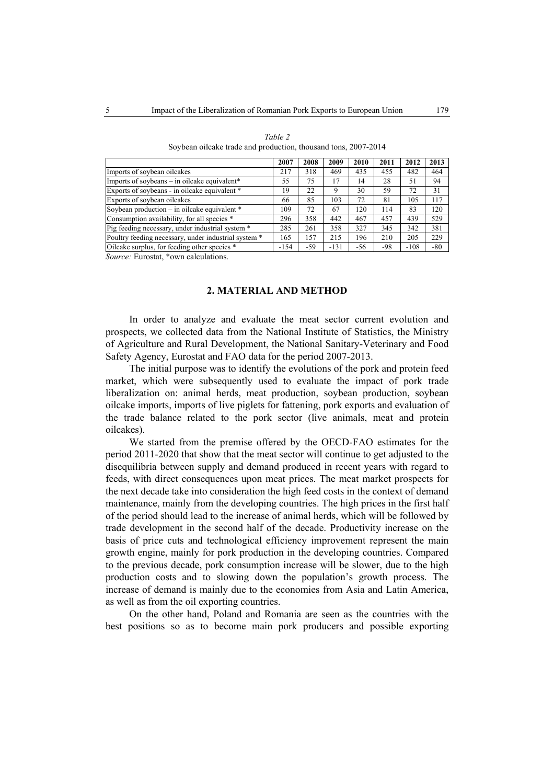|                                                      | 2007   | 2008 | 2009   | 2010 | 2011  | 2012   | 2013  |
|------------------------------------------------------|--------|------|--------|------|-------|--------|-------|
| Imports of soybean oilcakes                          | 217    | 318  | 469    | 435  | 455   | 482    | 464   |
| Imports of soybeans – in oilcake equivalent*         | 55     | 75   | 17     | 14   | 28    | 51     | 94    |
| Exports of soybeans - in oilcake equivalent *        | 19     | 22   | 9      | 30   | 59    | 72     | 31    |
| Exports of soybean oilcakes                          | 66     | 85   | 103    | 72   | 81    | 105    | 117   |
| Soybean production $-$ in oilcake equivalent $*$     | 109    | 72   | 67     | 120  | 114   | 83     | 120   |
| Consumption availability, for all species *          | 296    | 358  | 442    | 467  | 457   | 439    | 529   |
| Pig feeding necessary, under industrial system *     | 285    | 261  | 358    | 327  | 345   | 342    | 381   |
| Poultry feeding necessary, under industrial system * | 165    | 157  | 215    | 196  | 210   | 205    | 229   |
| Oilcake surplus, for feeding other species *         | $-154$ | -59  | $-131$ | -56  | $-98$ | $-108$ | $-80$ |
| Source: Eurostat *own calculations                   |        |      |        |      |       |        |       |

*Table 2*  Soybean oilcake trade and production, thousand tons, 2007-2014

*Source:* Eurostat, \*own calculations.

### **2. MATERIAL AND METHOD**

In order to analyze and evaluate the meat sector current evolution and prospects, we collected data from the National Institute of Statistics, the Ministry of Agriculture and Rural Development, the National Sanitary-Veterinary and Food Safety Agency, Eurostat and FAO data for the period 2007-2013.

The initial purpose was to identify the evolutions of the pork and protein feed market, which were subsequently used to evaluate the impact of pork trade liberalization on: animal herds, meat production, soybean production, soybean oilcake imports, imports of live piglets for fattening, pork exports and evaluation of the trade balance related to the pork sector (live animals, meat and protein oilcakes).

We started from the premise offered by the OECD-FAO estimates for the period 2011-2020 that show that the meat sector will continue to get adjusted to the disequilibria between supply and demand produced in recent years with regard to feeds, with direct consequences upon meat prices. The meat market prospects for the next decade take into consideration the high feed costs in the context of demand maintenance, mainly from the developing countries. The high prices in the first half of the period should lead to the increase of animal herds, which will be followed by trade development in the second half of the decade. Productivity increase on the basis of price cuts and technological efficiency improvement represent the main growth engine, mainly for pork production in the developing countries. Compared to the previous decade, pork consumption increase will be slower, due to the high production costs and to slowing down the population's growth process. The increase of demand is mainly due to the economies from Asia and Latin America, as well as from the oil exporting countries.

On the other hand, Poland and Romania are seen as the countries with the best positions so as to become main pork producers and possible exporting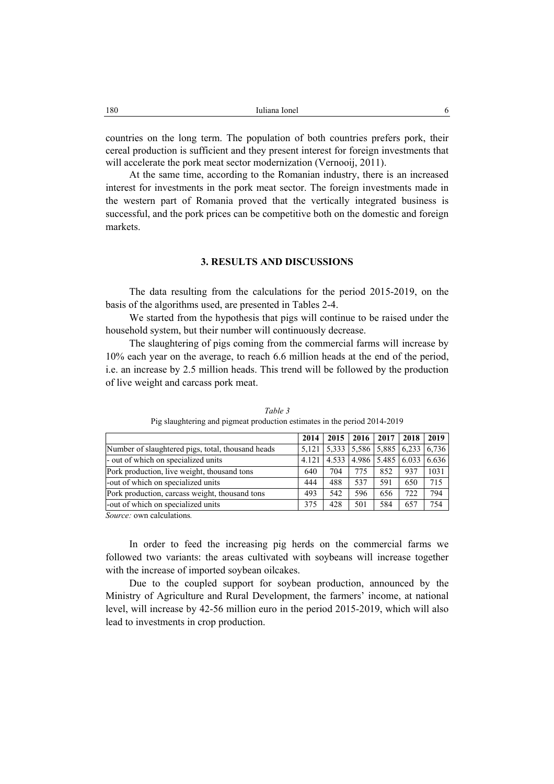countries on the long term. The population of both countries prefers pork, their cereal production is sufficient and they present interest for foreign investments that will accelerate the pork meat sector modernization (Vernooij, 2011).

At the same time, according to the Romanian industry, there is an increased interest for investments in the pork meat sector. The foreign investments made in the western part of Romania proved that the vertically integrated business is successful, and the pork prices can be competitive both on the domestic and foreign markets.

# **3. RESULTS AND DISCUSSIONS**

The data resulting from the calculations for the period 2015-2019, on the basis of the algorithms used, are presented in Tables 2-4.

We started from the hypothesis that pigs will continue to be raised under the household system, but their number will continuously decrease.

The slaughtering of pigs coming from the commercial farms will increase by 10% each year on the average, to reach 6.6 million heads at the end of the period, i.e. an increase by 2.5 million heads. This trend will be followed by the production of live weight and carcass pork meat.

|                                                   | 2014  | 2015                                                                                                       |     | $2016$ 2017 | 2018 | 2019  |
|---------------------------------------------------|-------|------------------------------------------------------------------------------------------------------------|-----|-------------|------|-------|
| Number of slaughtered pigs, total, thousand heads | 5.121 | $\left  \frac{5.333}{5.586} \right  \left  \frac{5.885}{5.885} \right  \left  \frac{6.233}{5.736} \right $ |     |             |      |       |
| - out of which on specialized units               | 4.121 | 4.533   4.986   5.485   6.033                                                                              |     |             |      | 6.636 |
| Pork production, live weight, thousand tons       | 640   | 704                                                                                                        | 775 | 852         | 937  | 1031  |
| -out of which on specialized units                | 444   | 488                                                                                                        | 537 | 591         | 650  | 715   |
| Pork production, carcass weight, thousand tons    | 493   | 542                                                                                                        | 596 | 656         | 722  | 794   |
| -out of which on specialized units                | 375   | 428                                                                                                        | 501 | 584         | 657  | 754   |
|                                                   |       |                                                                                                            |     |             |      |       |

*Table 3* Pig slaughtering and pigmeat production estimates in the period 2014-2019

*Source:* own calculations*.* 

In order to feed the increasing pig herds on the commercial farms we followed two variants: the areas cultivated with soybeans will increase together with the increase of imported soybean oilcakes.

Due to the coupled support for soybean production, announced by the Ministry of Agriculture and Rural Development, the farmers' income, at national level, will increase by 42-56 million euro in the period 2015-2019, which will also lead to investments in crop production.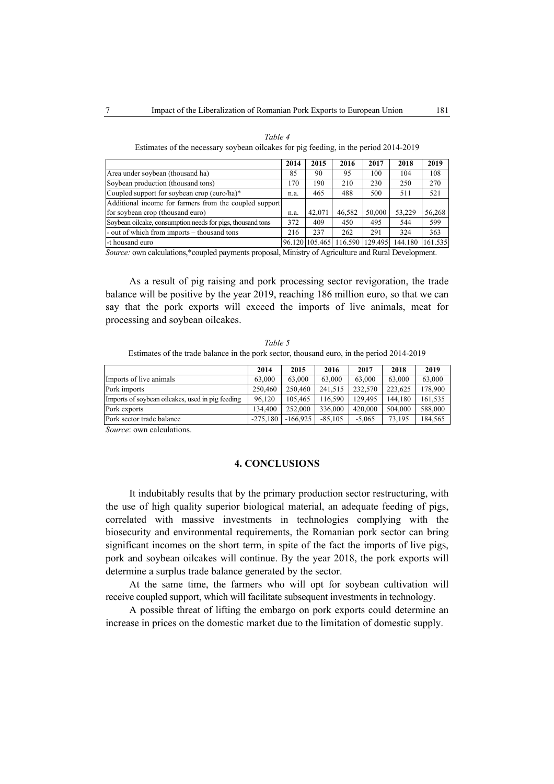|                                                            | 2014 | 2015   | 2016                   | 2017    | 2018    | 2019    |
|------------------------------------------------------------|------|--------|------------------------|---------|---------|---------|
| Area under soybean (thousand ha)                           | 85   | 90     | 95                     | 100     | 104     | 108     |
| Soybean production (thousand tons)                         | 170  | 190    | 210                    | 230     | 250     | 270     |
| Coupled support for soybean crop (euro/ha)*                | n.a. | 465    | 488                    | 500     | 511     | 521     |
| Additional income for farmers from the coupled support     |      |        |                        |         |         |         |
| for soybean crop (thousand euro)                           | n.a. | 42.071 | 46.582                 | 50.000  | 53.229  | 56,268  |
| Soybean oilcake, consumption needs for pigs, thousand tons | 372  | 409    | 450                    | 495     | 544     | 599     |
| - out of which from imports – thousand tons                | 216  | 237    | 262                    | 291     | 324     | 363     |
| -t housand euro                                            |      |        | 96.120 105.465 116.590 | 129.495 | 144.180 | 161.535 |

*Table 4*  Estimates of the necessary soybean oilcakes for pig feeding, in the period 2014-2019

*Source:* own calculations,\*coupled payments proposal, Ministry of Agriculture and Rural Development.

As a result of pig raising and pork processing sector revigoration, the trade balance will be positive by the year 2019, reaching 186 million euro, so that we can say that the pork exports will exceed the imports of live animals, meat for processing and soybean oilcakes.

*Table 5*  Estimates of the trade balance in the pork sector, thousand euro, in the period 2014-2019

|                                                  | 2014       | 2015       | 2016      | 2017     | 2018    | 2019    |
|--------------------------------------------------|------------|------------|-----------|----------|---------|---------|
| Imports of live animals                          | 63.000     | 63.000     | 63,000    | 63,000   | 63.000  | 63.000  |
| Pork imports                                     | 250.460    | 250.460    | 241.515   | 232,570  | 223.625 | 178.900 |
| Imports of soybean oilcakes, used in pig feeding | 96.120     | 105.465    | 116.590   | 129.495  | 144.180 | 161.535 |
| Pork exports                                     | 134.400    | 252,000    | 336,000   | 420,000  | 504.000 | 588,000 |
| Pork sector trade balance                        | $-275.180$ | $-166.925$ | $-85.105$ | $-5.065$ | 73.195  | 184,565 |
| Course our coloristique                          |            |            |           |          |         |         |

*Source*: own calculations.

### **4. CONCLUSIONS**

It indubitably results that by the primary production sector restructuring, with the use of high quality superior biological material, an adequate feeding of pigs, correlated with massive investments in technologies complying with the biosecurity and environmental requirements, the Romanian pork sector can bring significant incomes on the short term, in spite of the fact the imports of live pigs, pork and soybean oilcakes will continue. By the year 2018, the pork exports will determine a surplus trade balance generated by the sector.

At the same time, the farmers who will opt for soybean cultivation will receive coupled support, which will facilitate subsequent investments in technology.

A possible threat of lifting the embargo on pork exports could determine an increase in prices on the domestic market due to the limitation of domestic supply.